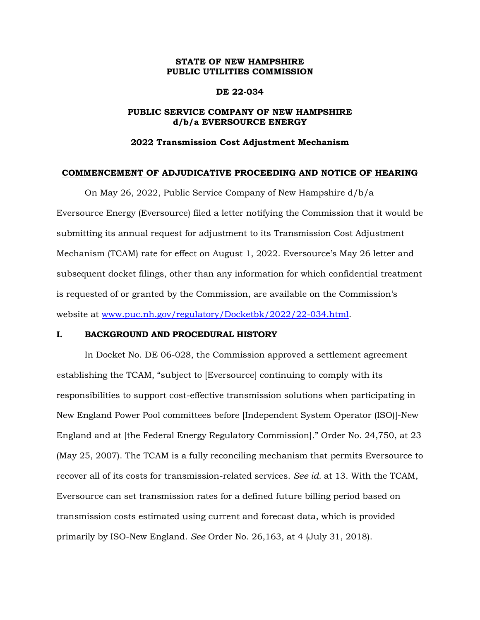## **STATE OF NEW HAMPSHIRE PUBLIC UTILITIES COMMISSION**

### **DE 22-034**

## **PUBLIC SERVICE COMPANY OF NEW HAMPSHIRE d/b/a EVERSOURCE ENERGY**

### **2022 Transmission Cost Adjustment Mechanism**

#### **COMMENCEMENT OF ADJUDICATIVE PROCEEDING AND NOTICE OF HEARING**

On May 26, 2022, Public Service Company of New Hampshire d/b/a Eversource Energy (Eversource) filed a letter notifying the Commission that it would be submitting its annual request for adjustment to its Transmission Cost Adjustment Mechanism (TCAM) rate for effect on August 1, 2022. Eversource's May 26 letter and subsequent docket filings, other than any information for which confidential treatment is requested of or granted by the Commission, are available on the Commission's website at [www.puc.nh.gov/regulatory/Docketbk/2022/22-034.html.](http://www.puc.nh.gov/regulatory/Docketbk/2022/22-034.html)

#### **I. BACKGROUND AND PROCEDURAL HISTORY**

In Docket No. DE 06-028, the Commission approved a settlement agreement establishing the TCAM, "subject to [Eversource] continuing to comply with its responsibilities to support cost-effective transmission solutions when participating in New England Power Pool committees before [Independent System Operator (ISO)]-New England and at [the Federal Energy Regulatory Commission]." Order No. 24,750, at 23 (May 25, 2007). The TCAM is a fully reconciling mechanism that permits Eversource to recover all of its costs for transmission-related services. *See id.* at 13. With the TCAM, Eversource can set transmission rates for a defined future billing period based on transmission costs estimated using current and forecast data, which is provided primarily by ISO-New England. *See* Order No. 26,163, at 4 (July 31, 2018).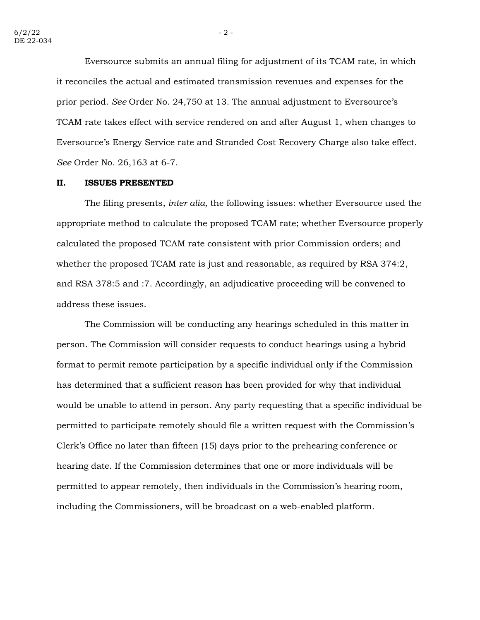Eversource submits an annual filing for adjustment of its TCAM rate, in which it reconciles the actual and estimated transmission revenues and expenses for the prior period. *See* Order No. 24,750 at 13. The annual adjustment to Eversource's TCAM rate takes effect with service rendered on and after August 1, when changes to Eversource's Energy Service rate and Stranded Cost Recovery Charge also take effect. *See* Order No. 26,163 at 6-7.

#### **II. ISSUES PRESENTED**

The filing presents, *inter alia,* the following issues: whether Eversource used the appropriate method to calculate the proposed TCAM rate; whether Eversource properly calculated the proposed TCAM rate consistent with prior Commission orders; and whether the proposed TCAM rate is just and reasonable, as required by RSA 374:2, and RSA 378:5 and :7. Accordingly, an adjudicative proceeding will be convened to address these issues.

The Commission will be conducting any hearings scheduled in this matter in person. The Commission will consider requests to conduct hearings using a hybrid format to permit remote participation by a specific individual only if the Commission has determined that a sufficient reason has been provided for why that individual would be unable to attend in person. Any party requesting that a specific individual be permitted to participate remotely should file a written request with the Commission's Clerk's Office no later than fifteen (15) days prior to the prehearing conference or hearing date. If the Commission determines that one or more individuals will be permitted to appear remotely, then individuals in the Commission's hearing room, including the Commissioners, will be broadcast on a web-enabled platform.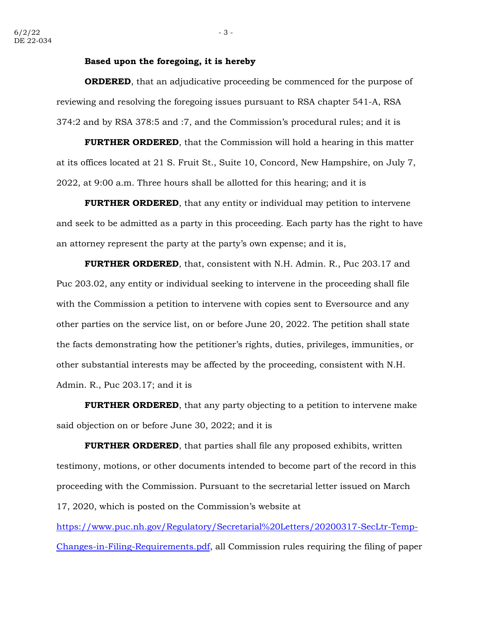#### **Based upon the foregoing, it is hereby**

**ORDERED**, that an adjudicative proceeding be commenced for the purpose of reviewing and resolving the foregoing issues pursuant to RSA chapter 541-A, RSA 374:2 and by RSA 378:5 and :7, and the Commission's procedural rules; and it is

**FURTHER ORDERED**, that the Commission will hold a hearing in this matter at its offices located at 21 S. Fruit St., Suite 10, Concord, New Hampshire, on July 7, 2022, at 9:00 a.m. Three hours shall be allotted for this hearing; and it is

**FURTHER ORDERED**, that any entity or individual may petition to intervene and seek to be admitted as a party in this proceeding. Each party has the right to have an attorney represent the party at the party's own expense; and it is,

**FURTHER ORDERED**, that, consistent with N.H. Admin. R., Puc 203.17 and Puc 203.02, any entity or individual seeking to intervene in the proceeding shall file with the Commission a petition to intervene with copies sent to Eversource and any other parties on the service list, on or before June 20, 2022. The petition shall state the facts demonstrating how the petitioner's rights, duties, privileges, immunities, or other substantial interests may be affected by the proceeding, consistent with N.H. Admin. R., Puc 203.17; and it is

**FURTHER ORDERED**, that any party objecting to a petition to intervene make said objection on or before June 30, 2022; and it is

**FURTHER ORDERED**, that parties shall file any proposed exhibits, written testimony, motions, or other documents intended to become part of the record in this proceeding with the Commission. Pursuant to the secretarial letter issued on March 17, 2020, which is posted on the Commission's website at

[https://www.puc.nh.gov/Regulatory/Secretarial%20Letters/20200317-SecLtr-Temp-](https://www.puc.nh.gov/Regulatory/Secretarial%20Letters/20200317-SecLtr-Temp-Changes-in-Filing-Requirements.pdf)[Changes-in-Filing-Requirements.pdf,](https://www.puc.nh.gov/Regulatory/Secretarial%20Letters/20200317-SecLtr-Temp-Changes-in-Filing-Requirements.pdf) all Commission rules requiring the filing of paper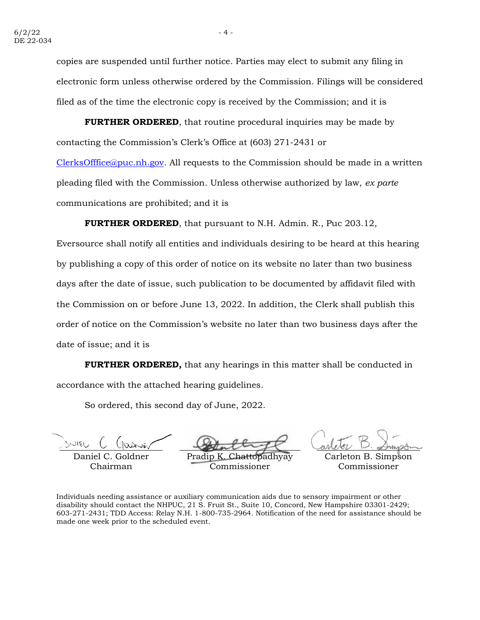copies are suspended until further notice. Parties may elect to submit any filing in electronic form unless otherwise ordered by the Commission. Filings will be considered filed as of the time the electronic copy is received by the Commission; and it is

**FURTHER ORDERED**, that routine procedural inquiries may be made by contacting the Commission's Clerk's Office at (603) 271-2431 or

[ClerksOfffice@puc.nh.gov.](mailto:ClerksOfffice@puc.nh.gov) All requests to the Commission should be made in a written pleading filed with the Commission. Unless otherwise authorized by law, *ex parte* communications are prohibited; and it is

**FURTHER ORDERED**, that pursuant to N.H. Admin. R., Puc 203.12,

Eversource shall notify all entities and individuals desiring to be heard at this hearing by publishing a copy of this order of notice on its website no later than two business days after the date of issue, such publication to be documented by affidavit filed with the Commission on or before June 13, 2022. In addition, the Clerk shall publish this order of notice on the Commission's website no later than two business days after the date of issue; and it is

**FURTHER ORDERED,** that any hearings in this matter shall be conducted in accordance with the attached hearing guidelines.

So ordered, this second day of June, 2022.

Daniel  $C$ Chairman

Pradip K Commissioner

Carleton B. Simpson Commissioner

Individuals needing assistance or auxiliary communication aids due to sensory impairment or other disability should contact the NHPUC, 21 S. Fruit St., Suite 10, Concord, New Hampshire 03301-2429; 603-271-2431; TDD Access: Relay N.H. 1-800-735-2964. Notification of the need for assistance should be made one week prior to the scheduled event.